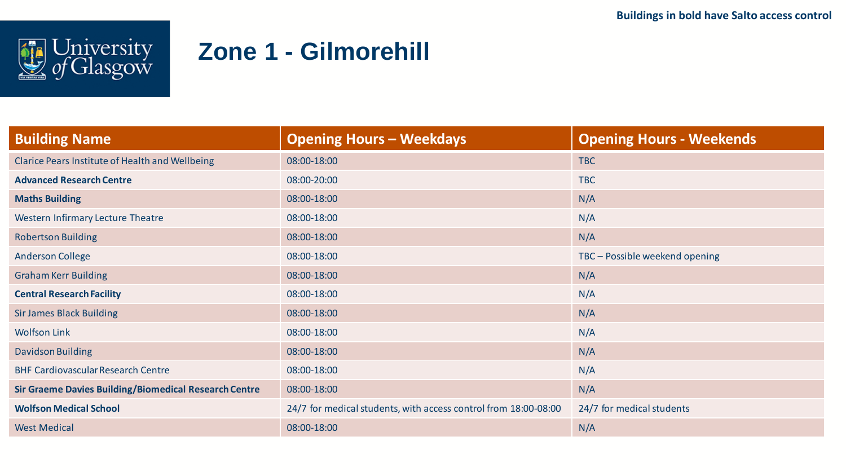

## **Zone 1 - Gilmorehill**

| <b>Building Name</b>                                         | <b>Opening Hours - Weekdays</b>                                 | <b>Opening Hours - Weekends</b> |  |
|--------------------------------------------------------------|-----------------------------------------------------------------|---------------------------------|--|
| Clarice Pears Institute of Health and Wellbeing              | 08:00-18:00                                                     | <b>TBC</b>                      |  |
| <b>Advanced Research Centre</b>                              | 08:00-20:00                                                     | <b>TBC</b>                      |  |
| <b>Maths Building</b>                                        | 08:00-18:00                                                     | N/A                             |  |
| <b>Western Infirmary Lecture Theatre</b>                     | 08:00-18:00                                                     | N/A                             |  |
| <b>Robertson Building</b>                                    | 08:00-18:00                                                     | N/A                             |  |
| <b>Anderson College</b>                                      | 08:00-18:00                                                     | TBC - Possible weekend opening  |  |
| <b>Graham Kerr Building</b>                                  | 08:00-18:00                                                     | N/A                             |  |
| <b>Central Research Facility</b>                             | 08:00-18:00                                                     | N/A                             |  |
| <b>Sir James Black Building</b>                              | 08:00-18:00                                                     | N/A                             |  |
| <b>Wolfson Link</b>                                          | 08:00-18:00                                                     | N/A                             |  |
| Davidson Building                                            | 08:00-18:00                                                     | N/A                             |  |
| <b>BHF Cardiovascular Research Centre</b>                    | 08:00-18:00                                                     | N/A                             |  |
| <b>Sir Graeme Davies Building/Biomedical Research Centre</b> | 08:00-18:00                                                     | N/A                             |  |
| <b>Wolfson Medical School</b>                                | 24/7 for medical students, with access control from 18:00-08:00 | 24/7 for medical students       |  |
| <b>West Medical</b>                                          | 08:00-18:00                                                     | N/A                             |  |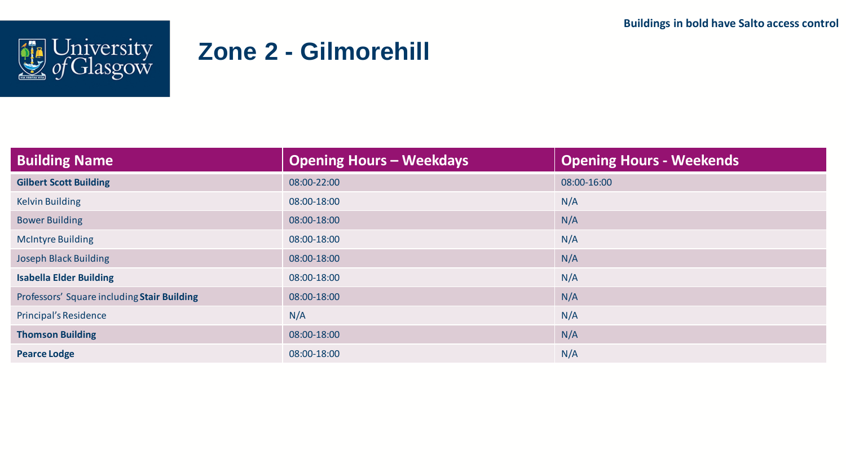

## **Zone 2 - Gilmorehill**

| <b>Building Name</b>                        | <b>Opening Hours - Weekdays</b> | <b>Opening Hours - Weekends</b> |  |
|---------------------------------------------|---------------------------------|---------------------------------|--|
| <b>Gilbert Scott Building</b>               | 08:00-22:00                     | 08:00-16:00                     |  |
| <b>Kelvin Building</b>                      | 08:00-18:00                     | N/A                             |  |
| <b>Bower Building</b>                       | 08:00-18:00                     | N/A                             |  |
| <b>McIntyre Building</b>                    | 08:00-18:00                     | N/A                             |  |
| <b>Joseph Black Building</b>                | 08:00-18:00                     | N/A                             |  |
| <b>Isabella Elder Building</b>              | 08:00-18:00                     | N/A                             |  |
| Professors' Square including Stair Building | 08:00-18:00                     | N/A                             |  |
| Principal's Residence                       | N/A                             | N/A                             |  |
| <b>Thomson Building</b>                     | 08:00-18:00                     | N/A                             |  |
| <b>Pearce Lodge</b>                         | 08:00-18:00                     | N/A                             |  |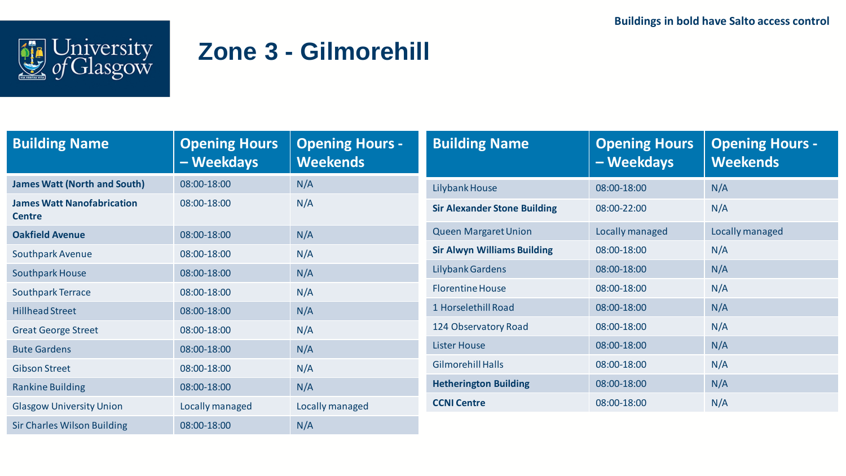

## **Zone 3 - Gilmorehill**

| <b>Building Name</b>                               | <b>Opening Hours</b><br>- Weekdays | <b>Opening Hours -</b><br><b>Weekends</b> | <b>Building Name</b>                | <b>Opening Hours</b><br>- Weekdays | <b>Opening Hours -</b><br><b>Weekends</b> |
|----------------------------------------------------|------------------------------------|-------------------------------------------|-------------------------------------|------------------------------------|-------------------------------------------|
| <b>James Watt (North and South)</b>                | 08:00-18:00                        | N/A                                       | Lilybank House                      | 08:00-18:00                        | N/A                                       |
| <b>James Watt Nanofabrication</b><br><b>Centre</b> | 08:00-18:00                        | N/A                                       | <b>Sir Alexander Stone Building</b> | 08:00-22:00                        | N/A                                       |
| <b>Oakfield Avenue</b>                             | 08:00-18:00                        | N/A                                       | <b>Queen Margaret Union</b>         | Locally managed                    | Locally managed                           |
| <b>Southpark Avenue</b>                            | 08:00-18:00                        | N/A                                       | <b>Sir Alwyn Williams Building</b>  | 08:00-18:00                        | N/A                                       |
| <b>Southpark House</b>                             | 08:00-18:00                        | N/A                                       | Lilybank Gardens                    | 08:00-18:00                        | N/A                                       |
| <b>Southpark Terrace</b>                           | 08:00-18:00                        | N/A                                       | <b>Florentine House</b>             | 08:00-18:00                        | N/A                                       |
| <b>Hillhead Street</b>                             | 08:00-18:00                        | N/A                                       | 1 Horselethill Road                 | 08:00-18:00                        | N/A                                       |
| <b>Great George Street</b>                         | 08:00-18:00                        | N/A                                       | 124 Observatory Road                | 08:00-18:00                        | N/A                                       |
| <b>Bute Gardens</b>                                | 08:00-18:00                        | N/A                                       | <b>Lister House</b>                 | 08:00-18:00                        | N/A                                       |
| <b>Gibson Street</b>                               | 08:00-18:00                        | N/A                                       | <b>Gilmorehill Halls</b>            | 08:00-18:00                        | N/A                                       |
| <b>Rankine Building</b>                            | 08:00-18:00                        | N/A                                       | <b>Hetherington Building</b>        | 08:00-18:00                        | N/A                                       |
| <b>Glasgow University Union</b>                    | Locally managed                    | Locally managed                           | <b>CCNI Centre</b>                  | 08:00-18:00                        | N/A                                       |
| <b>Sir Charles Wilson Building</b>                 | 08:00-18:00                        | N/A                                       |                                     |                                    |                                           |